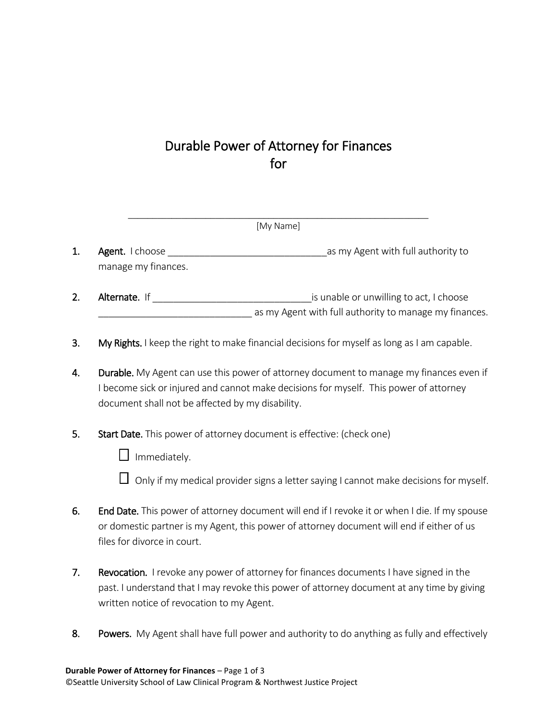## Durable Power of Attorney for Finances for

| [My Name] |                                               |                                                                                                   |  |  |
|-----------|-----------------------------------------------|---------------------------------------------------------------------------------------------------|--|--|
| 1.        | <b>Agent.</b> I choose<br>manage my finances. | as my Agent with full authority to                                                                |  |  |
| 2.        | Alternate. If                                 | is unable or unwilling to act, I choose<br>as my Agent with full authority to manage my finances. |  |  |

- 3. My Rights. I keep the right to make financial decisions for myself as long as I am capable.
- 4. Durable. My Agent can use this power of attorney document to manage my finances even if I become sick or injured and cannot make decisions for myself. This power of attorney document shall not be affected by my disability.
- 5. Start Date. This power of attorney document is effective: (check one)
	- $\square$  Immediately.
	- $\Box$  Only if my medical provider signs a letter saying I cannot make decisions for myself.
- 6. End Date. This power of attorney document will end if I revoke it or when I die. If my spouse or domestic partner is my Agent, this power of attorney document will end if either of us files for divorce in court.
- 7. Revocation. I revoke any power of attorney for finances documents I have signed in the past. I understand that I may revoke this power of attorney document at any time by giving written notice of revocation to my Agent.
- 8. Powers. My Agent shall have full power and authority to do anything as fully and effectively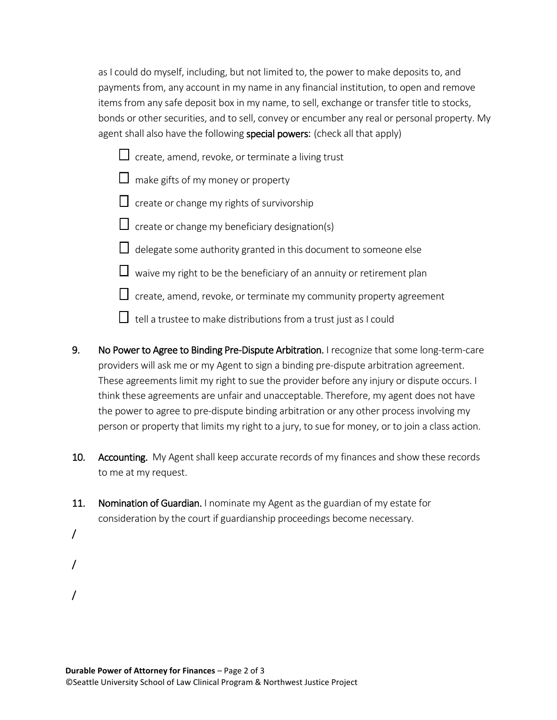as I could do myself, including, but not limited to, the power to make deposits to, and payments from, any account in my name in any financial institution, to open and remove items from any safe deposit box in my name, to sell, exchange or transfer title to stocks, bonds or other securities, and to sell, convey or encumber any real or personal property. My agent shall also have the following special powers: (check all that apply)

- $\Box$  create, amend, revoke, or terminate a living trust
- $\Box$  make gifts of my money or property
- $\Box$  create or change my rights of survivorship
- $\Box$  create or change my beneficiary designation(s)
- $\Box$  delegate some authority granted in this document to someone else
- $\Box$  waive my right to be the beneficiary of an annuity or retirement plan
- $\Box$  create, amend, revoke, or terminate my community property agreement
- $\Box$  tell a trustee to make distributions from a trust just as I could
- 9. No Power to Agree to Binding Pre-Dispute Arbitration. I recognize that some long-term-care providers will ask me or my Agent to sign a binding pre-dispute arbitration agreement. These agreements limit my right to sue the provider before any injury or dispute occurs. I think these agreements are unfair and unacceptable. Therefore, my agent does not have the power to agree to pre-dispute binding arbitration or any other process involving my person or property that limits my right to a jury, to sue for money, or to join a class action.
- 10. Accounting. My Agent shall keep accurate records of my finances and show these records to me at my request.
- 11. Nomination of Guardian. I nominate my Agent as the guardian of my estate for consideration by the court if guardianship proceedings become necessary.
- /
- /
- /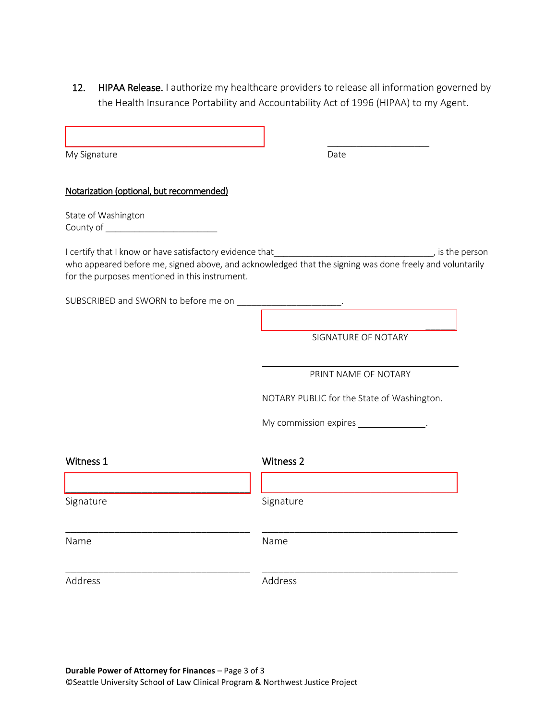12. HIPAA Release. I authorize my healthcare providers to release all information governed by the Health Insurance Portability and Accountability Act of 1996 (HIPAA) to my Agent.

| My Signature                                                | Date                                                                                                                                                                                                                                |
|-------------------------------------------------------------|-------------------------------------------------------------------------------------------------------------------------------------------------------------------------------------------------------------------------------------|
| Notarization (optional, but recommended)                    |                                                                                                                                                                                                                                     |
| State of Washington<br>County of __________________________ |                                                                                                                                                                                                                                     |
| for the purposes mentioned in this instrument.              | I certify that I know or have satisfactory evidence that <b>I certify that I know or have satisfactory evidence that</b><br>who appeared before me, signed above, and acknowledged that the signing was done freely and voluntarily |
| SUBSCRIBED and SWORN to before me on ____________________.  |                                                                                                                                                                                                                                     |
|                                                             | SIGNATURE OF NOTARY                                                                                                                                                                                                                 |
|                                                             | PRINT NAME OF NOTARY                                                                                                                                                                                                                |
|                                                             | NOTARY PUBLIC for the State of Washington.                                                                                                                                                                                          |
|                                                             | My commission expires _______________.                                                                                                                                                                                              |
| Witness 1                                                   | <b>Witness 2</b>                                                                                                                                                                                                                    |
| Signature                                                   | Signature                                                                                                                                                                                                                           |
| Name                                                        | Name                                                                                                                                                                                                                                |
| Address                                                     | Address                                                                                                                                                                                                                             |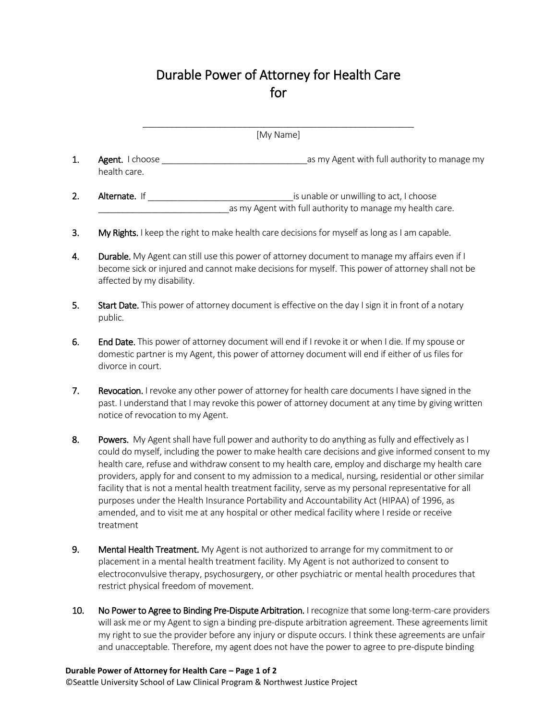## Durable Power of Attorney for Health Care for

| [My Name]      |                                 |                                                                                                      |  |
|----------------|---------------------------------|------------------------------------------------------------------------------------------------------|--|
| 1.             | Agent. I choose<br>health care. | as my Agent with full authority to manage my                                                         |  |
| $\overline{2}$ | <b>Alternate.</b> If            | is unable or unwilling to act, I choose<br>as my Agent with full authority to manage my health care. |  |
| 3.             |                                 | My Rights. I keep the right to make health care decisions for myself as long as I am capable.        |  |

- 4. Durable. My Agent can still use this power of attorney document to manage my affairs even if I become sick or injured and cannot make decisions for myself. This power of attorney shall not be affected by my disability.
- 5. Start Date. This power of attorney document is effective on the day I sign it in front of a notary public.
- 6. End Date. This power of attorney document will end if I revoke it or when I die. If my spouse or domestic partner is my Agent, this power of attorney document will end if either of us files for divorce in court.
- 7. Revocation. I revoke any other power of attorney for health care documents I have signed in the past. I understand that I may revoke this power of attorney document at any time by giving written notice of revocation to my Agent.
- 8. Powers. My Agent shall have full power and authority to do anything as fully and effectively as I could do myself, including the power to make health care decisions and give informed consent to my health care, refuse and withdraw consent to my health care, employ and discharge my health care providers, apply for and consent to my admission to a medical, nursing, residential or other similar facility that is not a mental health treatment facility, serve as my personal representative for all purposes under the Health Insurance Portability and Accountability Act (HIPAA) of 1996, as amended, and to visit me at any hospital or other medical facility where I reside or receive treatment
- 9. Mental Health Treatment. My Agent is not authorized to arrange for my commitment to or placement in a mental health treatment facility. My Agent is not authorized to consent to electroconvulsive therapy, psychosurgery, or other psychiatric or mental health procedures that restrict physical freedom of movement.
- 10. No Power to Agree to Binding Pre-Dispute Arbitration. I recognize that some long-term-care providers will ask me or my Agent to sign a binding pre-dispute arbitration agreement. These agreements limit my right to sue the provider before any injury or dispute occurs. I think these agreements are unfair and unacceptable. Therefore, my agent does not have the power to agree to pre-dispute binding